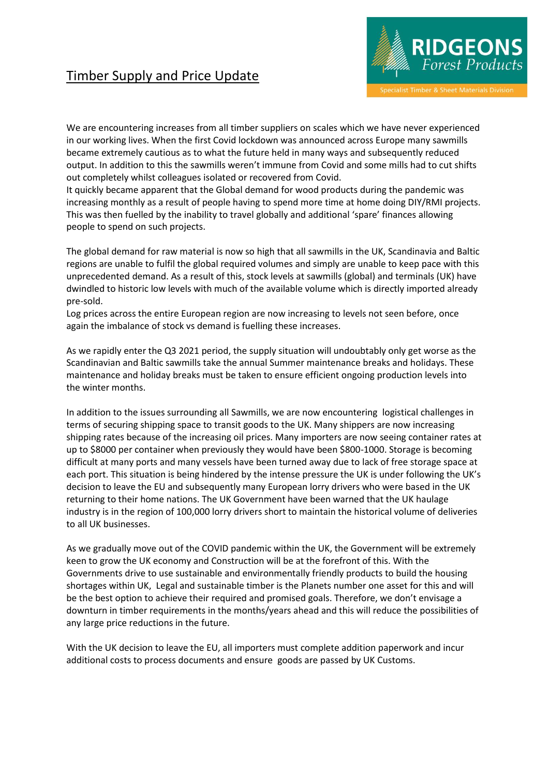## Timber Supply and Price Update



We are encountering increases from all timber suppliers on scales which we have never experienced in our working lives. When the first Covid lockdown was announced across Europe many sawmills became extremely cautious as to what the future held in many ways and subsequently reduced output. In addition to this the sawmills weren't immune from Covid and some mills had to cut shifts out completely whilst colleagues isolated or recovered from Covid.

It quickly became apparent that the Global demand for wood products during the pandemic was increasing monthly as a result of people having to spend more time at home doing DIY/RMI projects. This was then fuelled by the inability to travel globally and additional 'spare' finances allowing people to spend on such projects.

The global demand for raw material is now so high that all sawmills in the UK, Scandinavia and Baltic regions are unable to fulfil the global required volumes and simply are unable to keep pace with this unprecedented demand. As a result of this, stock levels at sawmills (global) and terminals (UK) have dwindled to historic low levels with much of the available volume which is directly imported already pre-sold.

Log prices across the entire European region are now increasing to levels not seen before, once again the imbalance of stock vs demand is fuelling these increases.

As we rapidly enter the Q3 2021 period, the supply situation will undoubtably only get worse as the Scandinavian and Baltic sawmills take the annual Summer maintenance breaks and holidays. These maintenance and holiday breaks must be taken to ensure efficient ongoing production levels into the winter months.

In addition to the issues surrounding all Sawmills, we are now encountering logistical challenges in terms of securing shipping space to transit goods to the UK. Many shippers are now increasing shipping rates because of the increasing oil prices. Many importers are now seeing container rates at up to \$8000 per container when previously they would have been \$800-1000. Storage is becoming difficult at many ports and many vessels have been turned away due to lack of free storage space at each port. This situation is being hindered by the intense pressure the UK is under following the UK's decision to leave the EU and subsequently many European lorry drivers who were based in the UK returning to their home nations. The UK Government have been warned that the UK haulage industry is in the region of 100,000 lorry drivers short to maintain the historical volume of deliveries to all UK businesses.

As we gradually move out of the COVID pandemic within the UK, the Government will be extremely keen to grow the UK economy and Construction will be at the forefront of this. With the Governments drive to use sustainable and environmentally friendly products to build the housing shortages within UK, Legal and sustainable timber is the Planets number one asset for this and will be the best option to achieve their required and promised goals. Therefore, we don't envisage a downturn in timber requirements in the months/years ahead and this will reduce the possibilities of any large price reductions in the future.

With the UK decision to leave the EU, all importers must complete addition paperwork and incur additional costs to process documents and ensure goods are passed by UK Customs.